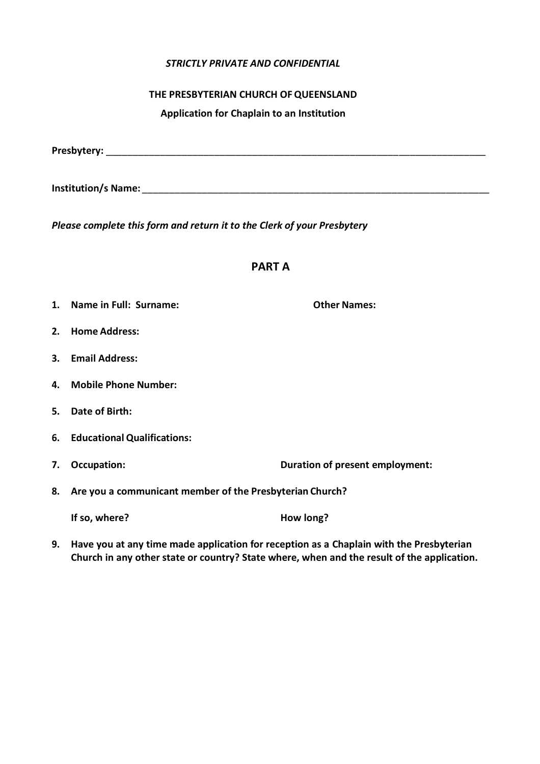## *STRICTLY PRIVATE AND CONFIDENTIAL*

## **THE PRESBYTERIAN CHURCH OFQUEENSLAND**

**Application for Chaplain to an Institution**

| Presbytery: |  |  |  |
|-------------|--|--|--|
|             |  |  |  |

**Institution/s Name:** \_\_\_\_\_\_\_\_\_\_\_\_\_\_\_\_\_\_\_\_\_\_\_\_\_\_\_\_\_\_\_\_\_\_\_\_\_\_\_\_\_\_\_\_\_\_\_\_\_\_\_\_\_\_\_\_\_\_\_\_\_\_\_\_

*Please complete this form and return it to the Clerk of your Presbytery*

## **PART A**

- **1. Name in Full: Surname: Other Names:**
- **2. Home Address:**
- **3. Email Address:**
- **4. Mobile Phone Number:**
- **5. Date of Birth:**
- **6. Educational Qualifications:**
- **7. Occupation: Duration of present employment:**
- **8. Are you a communicant member of the Presbyterian Church?**

| How long? |
|-----------|
|           |

**9. Have you at any time made application for reception as a Chaplain with the Presbyterian Church in any other state or country? State where, when and the result of the application.**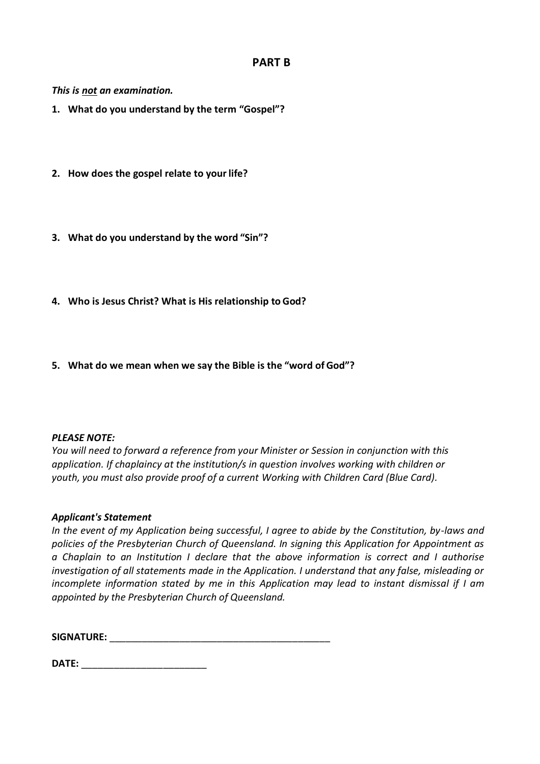# **PART B**

*This is not an examination.*

- **1. What do you understand by the term "Gospel"?**
- **2. How does the gospel relate to yourlife?**
- **3. What do you understand by the word "Sin"?**
- **4. Who is Jesus Christ? What is His relationship to God?**
- **5. What do we mean when we say the Bible is the "word of God"?**

### *PLEASE NOTE:*

*You will need to forward a reference from your Minister or Session in conjunction with this application. If chaplaincy at the institution/s in question involves working with children or youth, you must also provide proof of a current Working with Children Card (Blue Card).*

### *Applicant's Statement*

*In the event of my Application being successful, I agree to abide by the Constitution, by-laws and policies of the Presbyterian Church of Queensland. In signing this Application for Appointment as a Chaplain to an Institution I declare that the above information is correct and I authorise investigation of all statements made in the Application. I understand that any false, misleading or incomplete information stated by me in this Application may lead to instant dismissal if I am appointed by the Presbyterian Church of Queensland.*

**SIGNATURE:**  $\blacksquare$ 

| DATE: |  |
|-------|--|
|       |  |
|       |  |